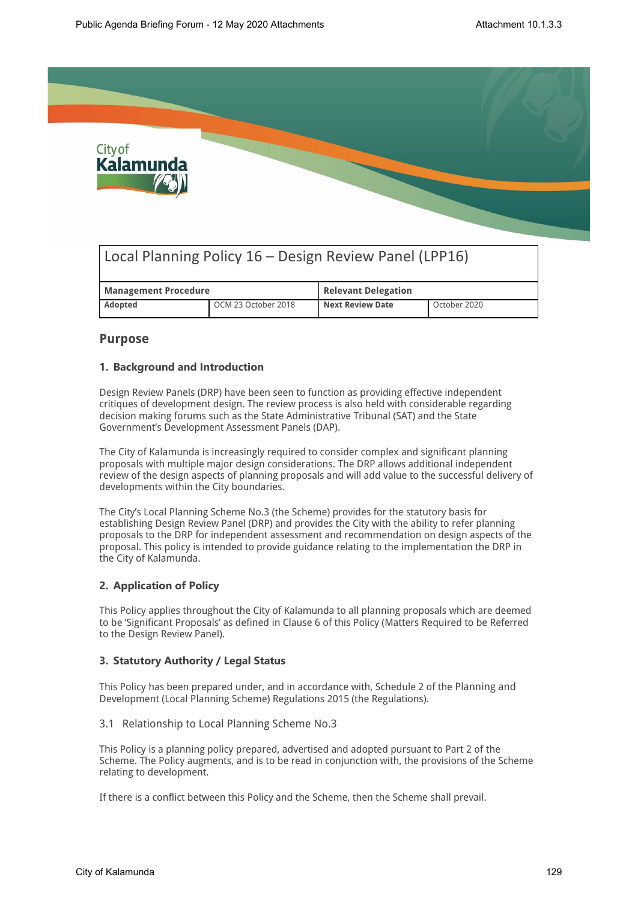

# Local Planning Policy 16 – Design Review Panel (LPP16)

| <b>Management Procedure</b> |                     | <b>Relevant Delegation</b> |              |  |
|-----------------------------|---------------------|----------------------------|--------------|--|
| <b>Adopted</b>              | OCM 23 October 2018 | <b>Next Review Date</b>    | October 2020 |  |

#### **Purpose**

#### **1. Background and Introduction**

Design Review Panels (DRP) have been seen to function as providing effective independent critiques of development design. The review process is also held with considerable regarding decision making forums such as the State Administrative Tribunal (SAT) and the State Government's Development Assessment Panels (DAP).

The City of Kalamunda is increasingly required to consider complex and significant planning proposals with multiple major design considerations. The DRP allows additional independent review of the design aspects of planning proposals and will add value to the successful delivery of developments within the City boundaries.

The City's Local Planning Scheme No.3 (the Scheme) provides for the statutory basis for establishing Design Review Panel (DRP) and provides the City with the ability to refer planning proposals to the DRP for independent assessment and recommendation on design aspects of the proposal. This policy is intended to provide guidance relating to the implementation the DRP in the City of Kalamunda.

#### **2. Application of Policy**

This Policy applies throughout the City of Kalamunda to all planning proposals which are deemed to be 'Significant Proposals' as defined in Clause 6 of this Policy (Matters Required to be Referred to the Design Review Panel).

#### **3. Statutory Authority / Legal Status**

This Policy has been prepared under, and in accordance with, Schedule 2 of the Planning and Development (Local Planning Scheme) Regulations 2015 (the Regulations).

3.1 Relationship to Local Planning Scheme No.3

This Policy is a planning policy prepared, advertised and adopted pursuant to Part 2 of the Scheme. The Policy augments, and is to be read in conjunction with, the provisions of the Scheme relating to development.

If there is a conflict between this Policy and the Scheme, then the Scheme shall prevail.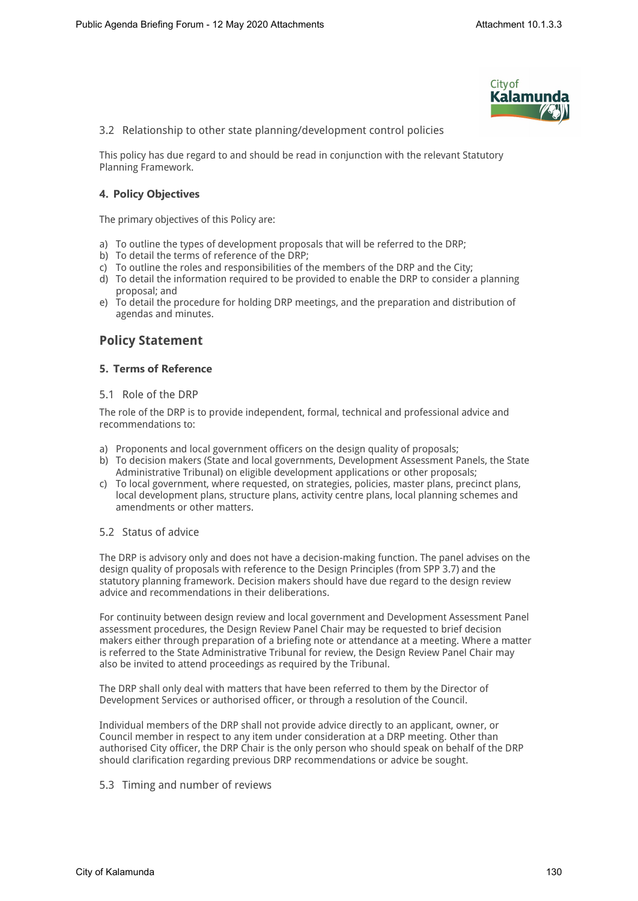

3.2 Relationship to other state planning/development control policies

This policy has due regard to and should be read in conjunction with the relevant Statutory Planning Framework.

#### **4. Policy Objectives**

The primary objectives of this Policy are:

- a) To outline the types of development proposals that will be referred to the DRP;
- b) To detail the terms of reference of the DRP;
- c) To outline the roles and responsibilities of the members of the DRP and the City;
- d) To detail the information required to be provided to enable the DRP to consider a planning proposal; and
- e) To detail the procedure for holding DRP meetings, and the preparation and distribution of agendas and minutes.

### **Policy Statement**

#### **5. Terms of Reference**

#### 5.1 Role of the DRP

The role of the DRP is to provide independent, formal, technical and professional advice and recommendations to:

- a) Proponents and local government officers on the design quality of proposals;
- b) To decision makers (State and local governments, Development Assessment Panels, the State Administrative Tribunal) on eligible development applications or other proposals;
- c) To local government, where requested, on strategies, policies, master plans, precinct plans, local development plans, structure plans, activity centre plans, local planning schemes and amendments or other matters.

#### 5.2 Status of advice

The DRP is advisory only and does not have a decision-making function. The panel advises on the design quality of proposals with reference to the Design Principles (from SPP 3.7) and the statutory planning framework. Decision makers should have due regard to the design review advice and recommendations in their deliberations.

For continuity between design review and local government and Development Assessment Panel assessment procedures, the Design Review Panel Chair may be requested to brief decision makers either through preparation of a briefing note or attendance at a meeting. Where a matter is referred to the State Administrative Tribunal for review, the Design Review Panel Chair may also be invited to attend proceedings as required by the Tribunal.

The DRP shall only deal with matters that have been referred to them by the Director of Development Services or authorised officer, or through a resolution of the Council.

Individual members of the DRP shall not provide advice directly to an applicant, owner, or Council member in respect to any item under consideration at a DRP meeting. Other than authorised City officer, the DRP Chair is the only person who should speak on behalf of the DRP should clarification regarding previous DRP recommendations or advice be sought.

#### 5.3 Timing and number of reviews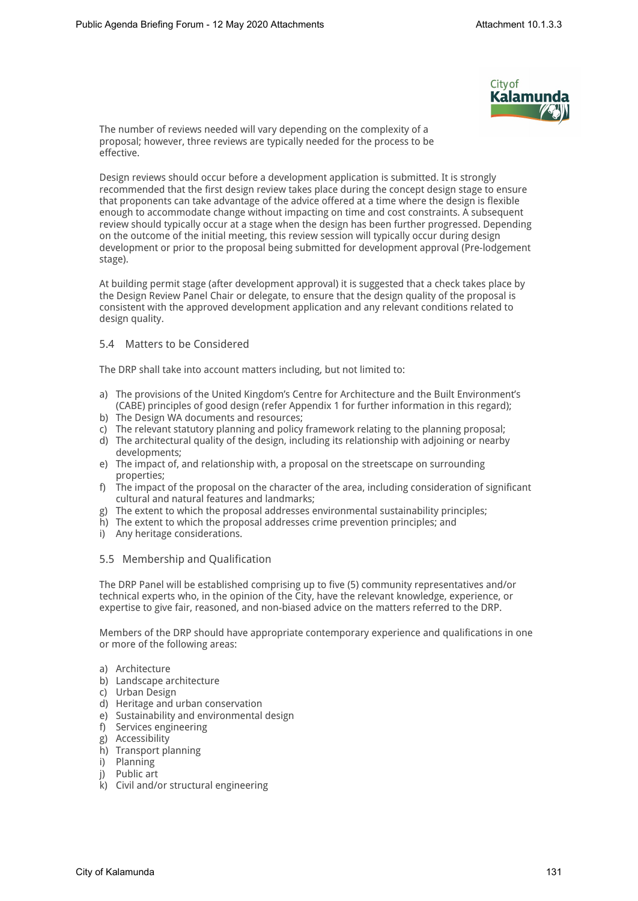

The number of reviews needed will vary depending on the complexity of a proposal; however, three reviews are typically needed for the process to be effective.

Design reviews should occur before a development application is submitted. It is strongly recommended that the first design review takes place during the concept design stage to ensure that proponents can take advantage of the advice offered at a time where the design is flexible enough to accommodate change without impacting on time and cost constraints. A subsequent review should typically occur at a stage when the design has been further progressed. Depending on the outcome of the initial meeting, this review session will typically occur during design development or prior to the proposal being submitted for development approval (Pre-lodgement stage).

At building permit stage (after development approval) it is suggested that a check takes place by the Design Review Panel Chair or delegate, to ensure that the design quality of the proposal is consistent with the approved development application and any relevant conditions related to design quality.

#### 5.4 Matters to be Considered

The DRP shall take into account matters including, but not limited to:

- a) The provisions of the United Kingdom's Centre for Architecture and the Built Environment's (CABE) principles of good design (refer Appendix 1 for further information in this regard);
- b) The Design WA documents and resources;
- c) The relevant statutory planning and policy framework relating to the planning proposal;
- d) The architectural quality of the design, including its relationship with adjoining or nearby developments;
- e) The impact of, and relationship with, a proposal on the streetscape on surrounding properties;
- f) The impact of the proposal on the character of the area, including consideration of significant cultural and natural features and landmarks;
- g) The extent to which the proposal addresses environmental sustainability principles;
- h) The extent to which the proposal addresses crime prevention principles; and
- i) Any heritage considerations.

#### 5.5 Membership and Qualification

The DRP Panel will be established comprising up to five (5) community representatives and/or technical experts who, in the opinion of the City, have the relevant knowledge, experience, or expertise to give fair, reasoned, and non-biased advice on the matters referred to the DRP.

Members of the DRP should have appropriate contemporary experience and qualifications in one or more of the following areas:

- a) Architecture
- b) Landscape architecture
- c) Urban Design
- d) Heritage and urban conservation
- e) Sustainability and environmental design
- f) Services engineering
- g) Accessibility
- h) Transport planning
- i) Planning
- j) Public art
- k) Civil and/or structural engineering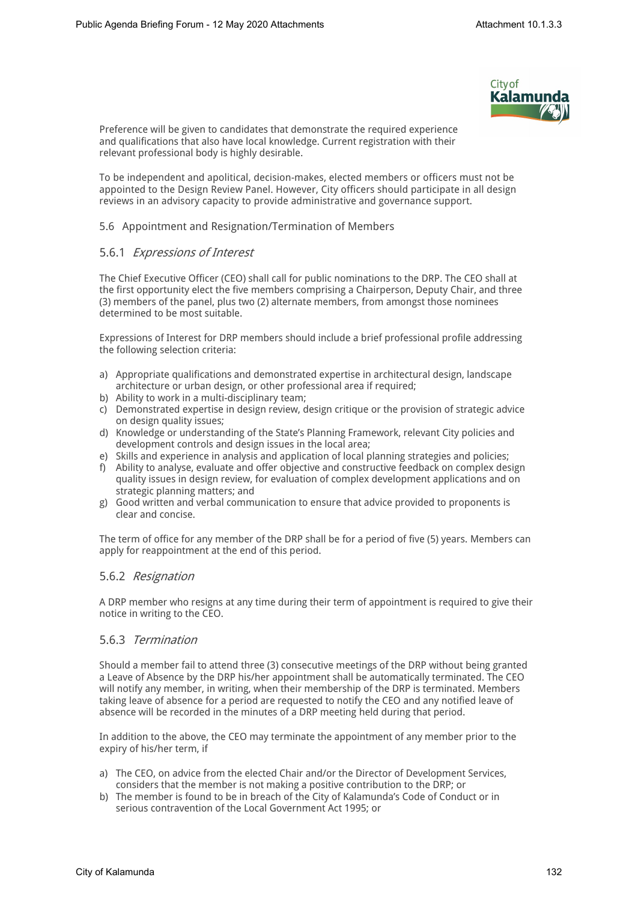

Preference will be given to candidates that demonstrate the required experience and qualifications that also have local knowledge. Current registration with their relevant professional body is highly desirable.

To be independent and apolitical, decision-makes, elected members or officers must not be appointed to the Design Review Panel. However, City officers should participate in all design reviews in an advisory capacity to provide administrative and governance support.

#### 5.6 Appointment and Resignation/Termination of Members

#### 5.6.1 *Expressions of Interest*

The Chief Executive Officer (CEO) shall call for public nominations to the DRP. The CEO shall at the first opportunity elect the five members comprising a Chairperson, Deputy Chair, and three (3) members of the panel, plus two (2) alternate members, from amongst those nominees determined to be most suitable.

Expressions of Interest for DRP members should include a brief professional profile addressing the following selection criteria:

- a) Appropriate qualifications and demonstrated expertise in architectural design, landscape architecture or urban design, or other professional area if required;
- b) Ability to work in a multi-disciplinary team;
- c) Demonstrated expertise in design review, design critique or the provision of strategic advice on design quality issues;
- d) Knowledge or understanding of the State's Planning Framework, relevant City policies and development controls and design issues in the local area;
- e) Skills and experience in analysis and application of local planning strategies and policies;
- f) Ability to analyse, evaluate and offer objective and constructive feedback on complex design quality issues in design review, for evaluation of complex development applications and on strategic planning matters; and
- g) Good written and verbal communication to ensure that advice provided to proponents is clear and concise.

The term of office for any member of the DRP shall be for a period of five (5) years. Members can apply for reappointment at the end of this period.

#### 5.6.2 *Resignation*

A DRP member who resigns at any time during their term of appointment is required to give their notice in writing to the CEO.

#### 5.6.3 *Termination*

Should a member fail to attend three (3) consecutive meetings of the DRP without being granted a Leave of Absence by the DRP his/her appointment shall be automatically terminated. The CEO will notify any member, in writing, when their membership of the DRP is terminated. Members taking leave of absence for a period are requested to notify the CEO and any notified leave of absence will be recorded in the minutes of a DRP meeting held during that period.

In addition to the above, the CEO may terminate the appointment of any member prior to the expiry of his/her term, if

- a) The CEO, on advice from the elected Chair and/or the Director of Development Services, considers that the member is not making a positive contribution to the DRP; or
- b) The member is found to be in breach of the City of Kalamunda's Code of Conduct or in serious contravention of the Local Government Act 1995; or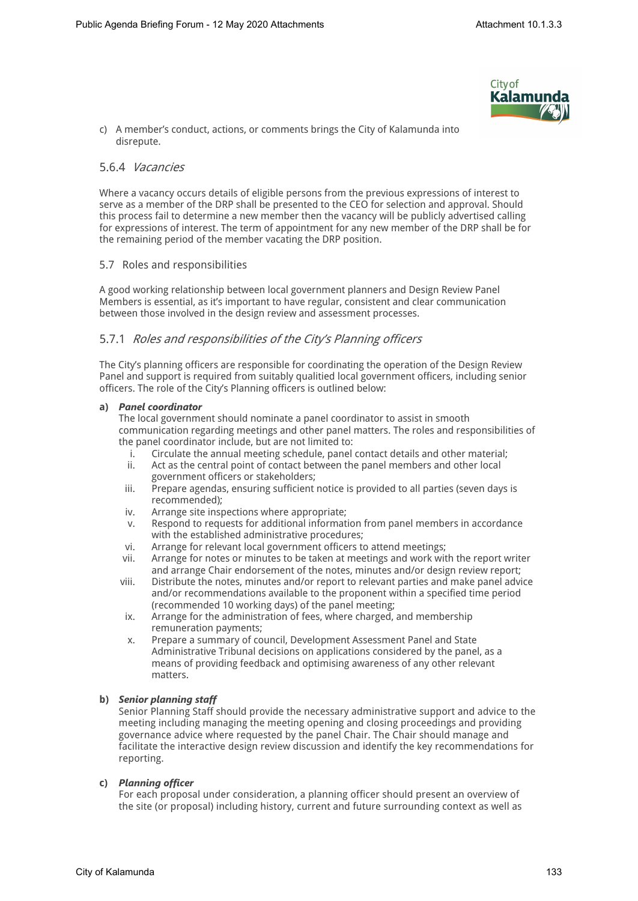

c) A member's conduct, actions, or comments brings the City of Kalamunda into disrepute.

#### 5.6.4 *Vacancies*

Where a vacancy occurs details of eligible persons from the previous expressions of interest to serve as a member of the DRP shall be presented to the CEO for selection and approval. Should this process fail to determine a new member then the vacancy will be publicly advertised calling for expressions of interest. The term of appointment for any new member of the DRP shall be for the remaining period of the member vacating the DRP position.

#### 5.7 Roles and responsibilities

A good working relationship between local government planners and Design Review Panel Members is essential, as it's important to have regular, consistent and clear communication between those involved in the design review and assessment processes.

#### 5.7.1 *Roles and responsibilities of the City's Planning officers*

The City's planning officers are responsible for coordinating the operation of the Design Review Panel and support is required from suitably qualitied local government officers, including senior officers. The role of the City's Planning officers is outlined below:

#### **a)** *Panel coordinator*

The local government should nominate a panel coordinator to assist in smooth communication regarding meetings and other panel matters. The roles and responsibilities of the panel coordinator include, but are not limited to:

- i. Circulate the annual meeting schedule, panel contact details and other material;
- ii. Act as the central point of contact between the panel members and other local government officers or stakeholders;
- iii. Prepare agendas, ensuring sufficient notice is provided to all parties (seven days is recommended);
- iv. Arrange site inspections where appropriate;
- v. Respond to requests for additional information from panel members in accordance with the established administrative procedures;
- vi. Arrange for relevant local government officers to attend meetings;
- vii. Arrange for notes or minutes to be taken at meetings and work with the report writer and arrange Chair endorsement of the notes, minutes and/or design review report;
- viii. Distribute the notes, minutes and/or report to relevant parties and make panel advice and/or recommendations available to the proponent within a specified time period (recommended 10 working days) of the panel meeting;
- ix. Arrange for the administration of fees, where charged, and membership remuneration payments;
- x. Prepare a summary of council, Development Assessment Panel and State Administrative Tribunal decisions on applications considered by the panel, as a means of providing feedback and optimising awareness of any other relevant matters.

#### **b)** *Senior planning staff*

Senior Planning Staff should provide the necessary administrative support and advice to the meeting including managing the meeting opening and closing proceedings and providing governance advice where requested by the panel Chair. The Chair should manage and facilitate the interactive design review discussion and identify the key recommendations for reporting.

#### **c)** *Planning officer*

For each proposal under consideration, a planning officer should present an overview of the site (or proposal) including history, current and future surrounding context as well as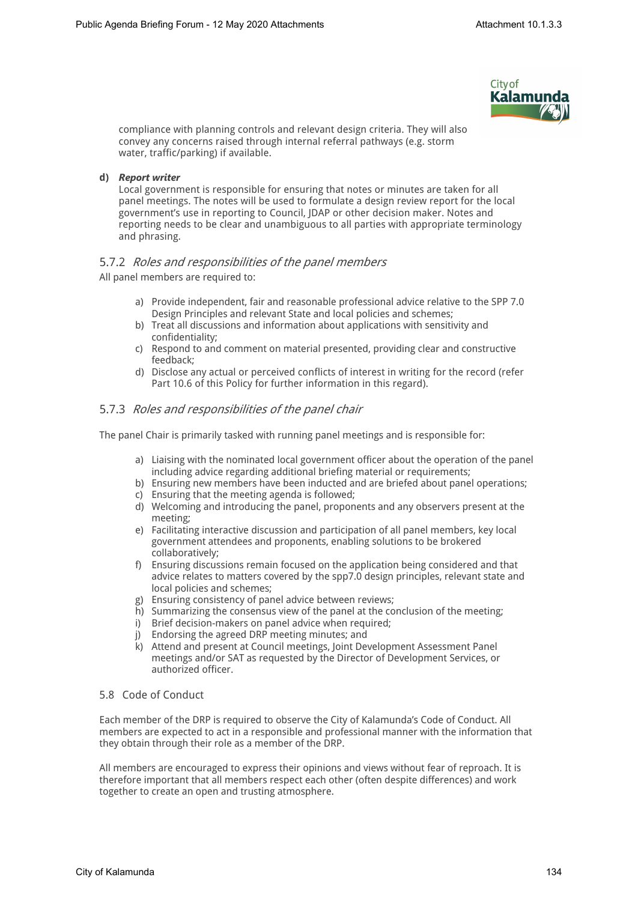

compliance with planning controls and relevant design criteria. They will also convey any concerns raised through internal referral pathways (e.g. storm water, traffic/parking) if available.

#### **d)** *Report writer*

Local government is responsible for ensuring that notes or minutes are taken for all panel meetings. The notes will be used to formulate a design review report for the local government's use in reporting to Council, JDAP or other decision maker. Notes and reporting needs to be clear and unambiguous to all parties with appropriate terminology and phrasing.

#### 5.7.2 *Roles and responsibilities of the panel members*

All panel members are required to:

- a) Provide independent, fair and reasonable professional advice relative to the SPP 7.0 Design Principles and relevant State and local policies and schemes;
- b) Treat all discussions and information about applications with sensitivity and confidentiality;
- c) Respond to and comment on material presented, providing clear and constructive feedback;
- d) Disclose any actual or perceived conflicts of interest in writing for the record (refer Part 10.6 of this Policy for further information in this regard).

#### 5.7.3 *Roles and responsibilities of the panel chair*

The panel Chair is primarily tasked with running panel meetings and is responsible for:

- a) Liaising with the nominated local government officer about the operation of the panel including advice regarding additional briefing material or requirements;
- b) Ensuring new members have been inducted and are briefed about panel operations;
- c) Ensuring that the meeting agenda is followed;
- d) Welcoming and introducing the panel, proponents and any observers present at the meeting;
- e) Facilitating interactive discussion and participation of all panel members, key local government attendees and proponents, enabling solutions to be brokered collaboratively;
- f) Ensuring discussions remain focused on the application being considered and that advice relates to matters covered by the spp7.0 design principles, relevant state and local policies and schemes;
- g) Ensuring consistency of panel advice between reviews;
- h) Summarizing the consensus view of the panel at the conclusion of the meeting;
- 
- i) Brief decision-makers on panel advice when required;<br>i) Endorsing the agreed DRP meeting minutes: and Endorsing the agreed DRP meeting minutes; and
- k) Attend and present at Council meetings, Joint Development Assessment Panel meetings and/or SAT as requested by the Director of Development Services, or authorized officer.

#### 5.8 Code of Conduct

Each member of the DRP is required to observe the City of Kalamunda's Code of Conduct. All members are expected to act in a responsible and professional manner with the information that they obtain through their role as a member of the DRP.

All members are encouraged to express their opinions and views without fear of reproach. It is therefore important that all members respect each other (often despite differences) and work together to create an open and trusting atmosphere.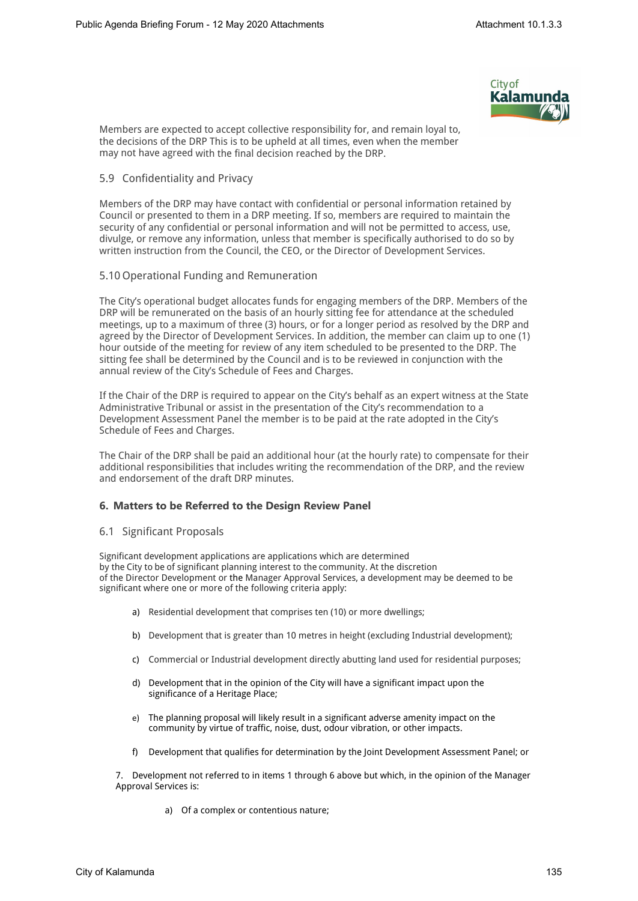

Members are expected to accept collective responsibility for, and remain loyal to, the decisions of the DRP This is to be upheld at all times, even when the member may not have agreed with the final decision reached by the DRP.

#### 5.9 Confidentiality and Privacy

Members of the DRP may have contact with confidential or personal information retained by Council or presented to them in a DRP meeting. If so, members are required to maintain the security of any confidential or personal information and will not be permitted to access, use, divulge, or remove any information, unless that member is specifically authorised to do so by written instruction from the Council, the CEO, or the Director of Development Services.

#### 5.10 Operational Funding and Remuneration

The City's operational budget allocates funds for engaging members of the DRP. Members of the DRP will be remunerated on the basis of an hourly sitting fee for attendance at the scheduled meetings, up to a maximum of three (3) hours, or for a longer period as resolved by the DRP and agreed by the Director of Development Services. In addition, the member can claim up to one (1) hour outside of the meeting for review of any item scheduled to be presented to the DRP. The sitting fee shall be determined by the Council and is to be reviewed in conjunction with the annual review of the City's Schedule of Fees and Charges.

If the Chair of the DRP is required to appear on the City's behalf as an expert witness at the State Administrative Tribunal or assist in the presentation of the City's recommendation to a Development Assessment Panel the member is to be paid at the rate adopted in the City's Schedule of Fees and Charges.

The Chair of the DRP shall be paid an additional hour (at the hourly rate) to compensate for their additional responsibilities that includes writing the recommendation of the DRP, and the review and endorsement of the draft DRP minutes.

#### **6. Matters to be Referred to the Design Review Panel**

#### 6.1 Significant Proposals

Significant development applications are applications which are determined by the City to be of significant planning interest to the community. At the discretion of the Director Development or the Manager Approval Services, a development may be deemed to be significant where one or more of the following criteria apply:

- a) Residential development that comprises ten (10) or more dwellings;
- b) Development that is greater than 10 metres in height (excluding Industrial development);
- c) Commercial or Industrial development directly abutting land used for residential purposes;
- d) Development that in the opinion of the City will have a significant impact upon the significance of a Heritage Place;
- e) The planning proposal will likely result in a significant adverse amenity impact on the community by virtue of traffic, noise, dust, odour vibration, or other impacts.
- f) Development that qualifies for determination by the Joint Development Assessment Panel; or

7. Development not referred to in items 1 through 6 above but which, in the opinion of the Manager Approval Services is:

a) Of a complex or contentious nature;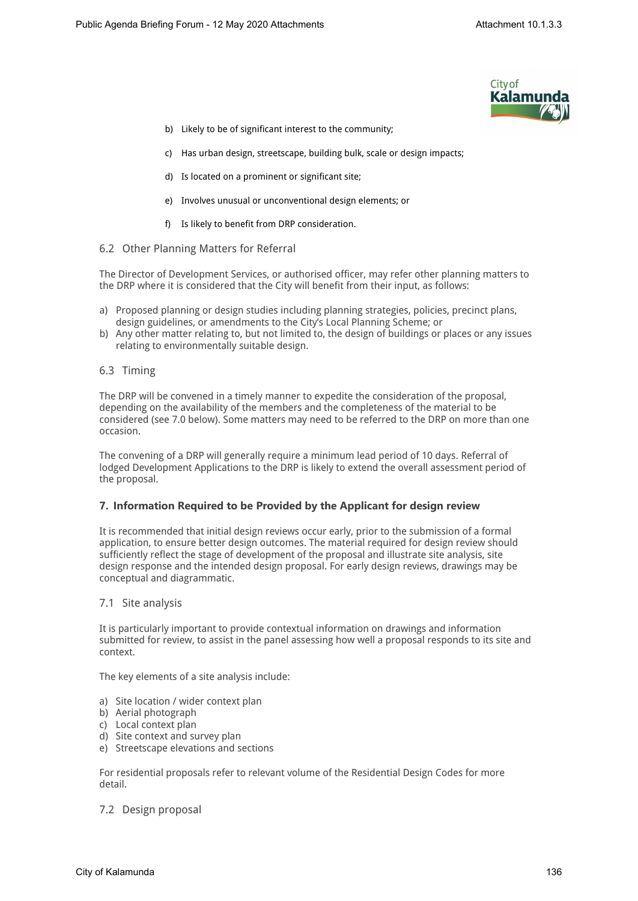

- b) Likely to be of significant interest to the community;
- c) Has urban design, streetscape, building bulk, scale or design impacts;
- d) Is located on a prominent or significant site;
- e) Involves unusual or unconventional design elements; or
- f) Is likely to benefit from DRP consideration.
- 6.2 Other Planning Matters for Referral

The Director of Development Services, or authorised officer, may refer other planning matters to the DRP where it is considered that the City will benefit from their input, as follows:

- a) Proposed planning or design studies including planning strategies, policies, precinct plans, design guidelines, or amendments to the City's Local Planning Scheme; or
- b) Any other matter relating to, but not limited to, the design of buildings or places or any issues relating to environmentally suitable design.
- 6.3 Timing

The DRP will be convened in a timely manner to expedite the consideration of the proposal, depending on the availability of the members and the completeness of the material to be considered (see 7.0 below). Some matters may need to be referred to the DRP on more than one occasion.

The convening of a DRP will generally require a minimum lead period of 10 days. Referral of lodged Development Applications to the DRP is likely to extend the overall assessment period of the proposal.

#### **7. Information Required to be Provided by the Applicant for design review**

It is recommended that initial design reviews occur early, prior to the submission of a formal application, to ensure better design outcomes. The material required for design review should sufficiently reflect the stage of development of the proposal and illustrate site analysis, site design response and the intended design proposal. For early design reviews, drawings may be conceptual and diagrammatic.

#### 7.1 Site analysis

It is particularly important to provide contextual information on drawings and information submitted for review, to assist in the panel assessing how well a proposal responds to its site and context.

The key elements of a site analysis include:

- a) Site location / wider context plan
- b) Aerial photograph
- c) Local context plan
- d) Site context and survey plan
- e) Streetscape elevations and sections

For residential proposals refer to relevant volume of the Residential Design Codes for more detail.

7.2 Design proposal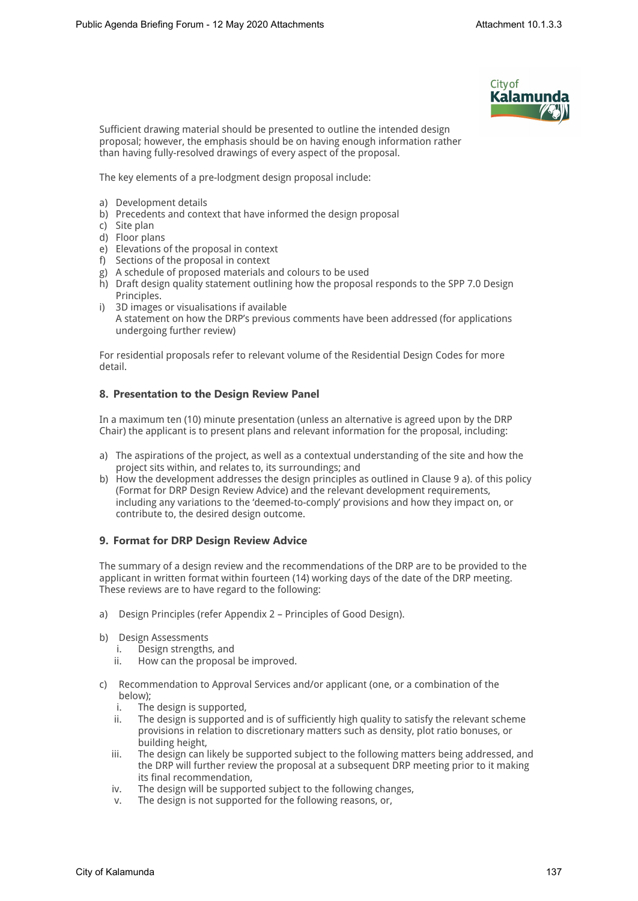

Sufficient drawing material should be presented to outline the intended design proposal; however, the emphasis should be on having enough information rather than having fully-resolved drawings of every aspect of the proposal.

The key elements of a pre-lodgment design proposal include:

- a) Development details
- b) Precedents and context that have informed the design proposal
- c) Site plan
- d) Floor plans
- e) Elevations of the proposal in context
- f) Sections of the proposal in context
- g) A schedule of proposed materials and colours to be used
- h) Draft design quality statement outlining how the proposal responds to the SPP 7.0 Design Principles.
- i) 3D images or visualisations if available A statement on how the DRP's previous comments have been addressed (for applications undergoing further review)

For residential proposals refer to relevant volume of the Residential Design Codes for more detail.

#### **8. Presentation to the Design Review Panel**

In a maximum ten (10) minute presentation (unless an alternative is agreed upon by the DRP Chair) the applicant is to present plans and relevant information for the proposal, including:

- a) The aspirations of the project, as well as a contextual understanding of the site and how the project sits within, and relates to, its surroundings; and
- b) How the development addresses the design principles as outlined in Clause 9 a). of this policy (Format for DRP Design Review Advice) and the relevant development requirements, including any variations to the 'deemed-to-comply' provisions and how they impact on, or contribute to, the desired design outcome.

#### **9. Format for DRP Design Review Advice**

The summary of a design review and the recommendations of the DRP are to be provided to the applicant in written format within fourteen (14) working days of the date of the DRP meeting. These reviews are to have regard to the following:

- a) Design Principles (refer Appendix 2 Principles of Good Design).
- b) Design Assessments
	- i. Design strengths, and
	- ii. How can the proposal be improved.
- c) Recommendation to Approval Services and/or applicant (one, or a combination of the below);<br>i. The
	- The design is supported,
	- ii. The design is supported and is of sufficiently high quality to satisfy the relevant scheme provisions in relation to discretionary matters such as density, plot ratio bonuses, or building height,
	- iii. The design can likely be supported subject to the following matters being addressed, and the DRP will further review the proposal at a subsequent DRP meeting prior to it making its final recommendation,
	- iv. The design will be supported subject to the following changes,
	- v. The design is not supported for the following reasons, or,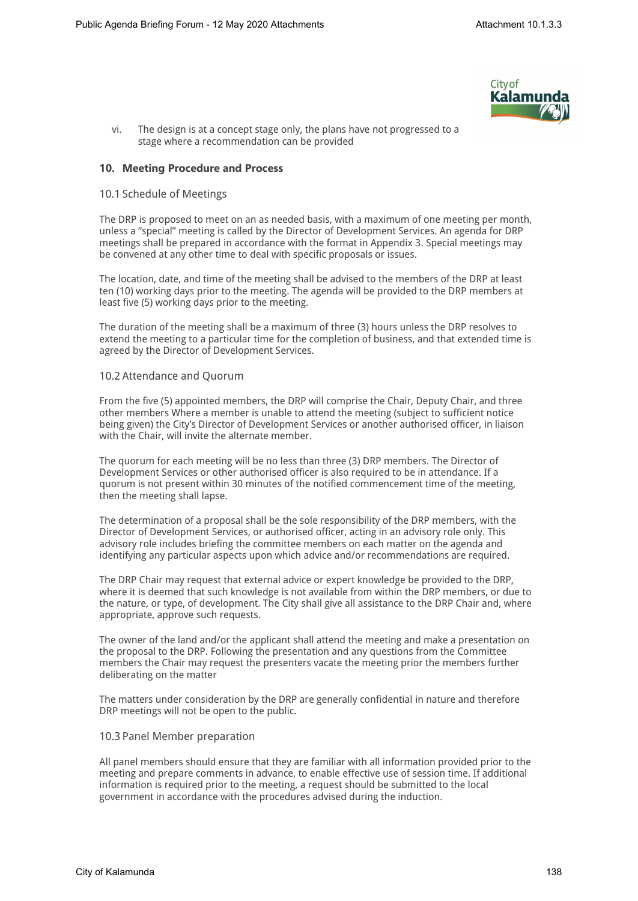

vi. The design is at a concept stage only, the plans have not progressed to a stage where a recommendation can be provided

#### **10. Meeting Procedure and Process**

#### 10.1 Schedule of Meetings

The DRP is proposed to meet on an as needed basis, with a maximum of one meeting per month, unless a "special" meeting is called by the Director of Development Services. An agenda for DRP meetings shall be prepared in accordance with the format in Appendix 3. Special meetings may be convened at any other time to deal with specific proposals or issues.

The location, date, and time of the meeting shall be advised to the members of the DRP at least ten (10) working days prior to the meeting. The agenda will be provided to the DRP members at least five (5) working days prior to the meeting.

The duration of the meeting shall be a maximum of three (3) hours unless the DRP resolves to extend the meeting to a particular time for the completion of business, and that extended time is agreed by the Director of Development Services.

#### 10.2 Attendance and Quorum

From the five (5) appointed members, the DRP will comprise the Chair, Deputy Chair, and three other members Where a member is unable to attend the meeting (subject to sufficient notice being given) the City's Director of Development Services or another authorised officer, in liaison with the Chair, will invite the alternate member.

The quorum for each meeting will be no less than three (3) DRP members. The Director of Development Services or other authorised officer is also required to be in attendance. If a quorum is not present within 30 minutes of the notified commencement time of the meeting, then the meeting shall lapse.

The determination of a proposal shall be the sole responsibility of the DRP members, with the Director of Development Services, or authorised officer, acting in an advisory role only. This advisory role includes briefing the committee members on each matter on the agenda and identifying any particular aspects upon which advice and/or recommendations are required.

The DRP Chair may request that external advice or expert knowledge be provided to the DRP, where it is deemed that such knowledge is not available from within the DRP members, or due to the nature, or type, of development. The City shall give all assistance to the DRP Chair and, where appropriate, approve such requests.

The owner of the land and/or the applicant shall attend the meeting and make a presentation on the proposal to the DRP. Following the presentation and any questions from the Committee members the Chair may request the presenters vacate the meeting prior the members further deliberating on the matter

The matters under consideration by the DRP are generally confidential in nature and therefore DRP meetings will not be open to the public.

#### 10.3 Panel Member preparation

All panel members should ensure that they are familiar with all information provided prior to the meeting and prepare comments in advance, to enable effective use of session time. If additional information is required prior to the meeting, a request should be submitted to the local government in accordance with the procedures advised during the induction.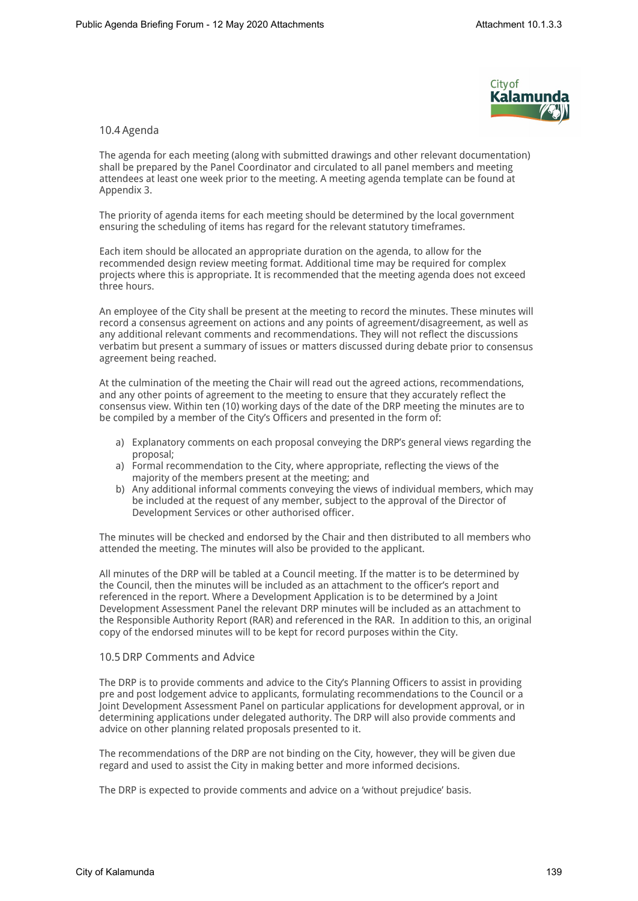

#### 10.4 Agenda

The agenda for each meeting (along with submitted drawings and other relevant documentation) shall be prepared by the Panel Coordinator and circulated to all panel members and meeting attendees at least one week prior to the meeting. A meeting agenda template can be found at Appendix 3.

The priority of agenda items for each meeting should be determined by the local government ensuring the scheduling of items has regard for the relevant statutory timeframes.

Each item should be allocated an appropriate duration on the agenda, to allow for the recommended design review meeting format. Additional time may be required for complex projects where this is appropriate. It is recommended that the meeting agenda does not exceed three hours.

An employee of the City shall be present at the meeting to record the minutes. These minutes will record a consensus agreement on actions and any points of agreement/disagreement, as well as any additional relevant comments and recommendations. They will not reflect the discussions verbatim but present a summary of issues or matters discussed during debate prior to consensus agreement being reached.

At the culmination of the meeting the Chair will read out the agreed actions, recommendations, and any other points of agreement to the meeting to ensure that they accurately reflect the consensus view. Within ten (10) working days of the date of the DRP meeting the minutes are to be compiled by a member of the City's Officers and presented in the form of:

- a) Explanatory comments on each proposal conveying the DRP's general views regarding the proposal;
- a) Formal recommendation to the City, where appropriate, reflecting the views of the majority of the members present at the meeting; and
- b) Any additional informal comments conveying the views of individual members, which may be included at the request of any member, subject to the approval of the Director of Development Services or other authorised officer.

The minutes will be checked and endorsed by the Chair and then distributed to all members who attended the meeting. The minutes will also be provided to the applicant.

All minutes of the DRP will be tabled at a Council meeting. If the matter is to be determined by the Council, then the minutes will be included as an attachment to the officer's report and referenced in the report. Where a Development Application is to be determined by a Joint Development Assessment Panel the relevant DRP minutes will be included as an attachment to the Responsible Authority Report (RAR) and referenced in the RAR. In addition to this, an original copy of the endorsed minutes will to be kept for record purposes within the City.

#### 10.5 DRP Comments and Advice

The DRP is to provide comments and advice to the City's Planning Officers to assist in providing pre and post lodgement advice to applicants, formulating recommendations to the Council or a Joint Development Assessment Panel on particular applications for development approval, or in determining applications under delegated authority. The DRP will also provide comments and advice on other planning related proposals presented to it.

The recommendations of the DRP are not binding on the City, however, they will be given due regard and used to assist the City in making better and more informed decisions.

The DRP is expected to provide comments and advice on a 'without prejudice' basis.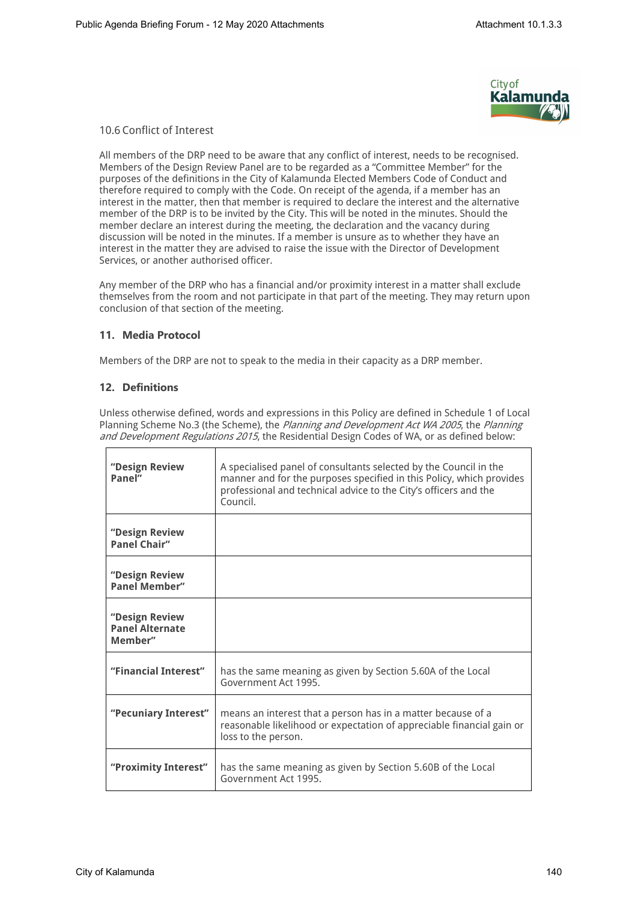

#### 10.6 Conflict of Interest

All members of the DRP need to be aware that any conflict of interest, needs to be recognised. Members of the Design Review Panel are to be regarded as a "Committee Member" for the purposes of the definitions in the City of Kalamunda Elected Members Code of Conduct and therefore required to comply with the Code. On receipt of the agenda, if a member has an interest in the matter, then that member is required to declare the interest and the alternative member of the DRP is to be invited by the City. This will be noted in the minutes. Should the member declare an interest during the meeting, the declaration and the vacancy during discussion will be noted in the minutes. If a member is unsure as to whether they have an interest in the matter they are advised to raise the issue with the Director of Development Services, or another authorised officer.

Any member of the DRP who has a financial and/or proximity interest in a matter shall exclude themselves from the room and not participate in that part of the meeting. They may return upon conclusion of that section of the meeting.

#### **11. Media Protocol**

Members of the DRP are not to speak to the media in their capacity as a DRP member.

#### **12. Definitions**

Unless otherwise defined, words and expressions in this Policy are defined in Schedule 1 of Local Planning Scheme No.3 (the Scheme), the *Planning and Development Act WA 2005*, the *Planning and Development Regulations 2015*, the Residential Design Codes of WA, or as defined below:

| "Design Review<br>Panel"                            | A specialised panel of consultants selected by the Council in the<br>manner and for the purposes specified in this Policy, which provides<br>professional and technical advice to the City's officers and the<br>Council. |
|-----------------------------------------------------|---------------------------------------------------------------------------------------------------------------------------------------------------------------------------------------------------------------------------|
| "Design Review<br><b>Panel Chair"</b>               |                                                                                                                                                                                                                           |
| "Design Review<br><b>Panel Member"</b>              |                                                                                                                                                                                                                           |
| "Design Review<br><b>Panel Alternate</b><br>Member" |                                                                                                                                                                                                                           |
| "Financial Interest"                                | has the same meaning as given by Section 5.60A of the Local<br>Government Act 1995.                                                                                                                                       |
| "Pecuniary Interest"                                | means an interest that a person has in a matter because of a<br>reasonable likelihood or expectation of appreciable financial gain or<br>loss to the person.                                                              |
| "Proximity Interest"                                | has the same meaning as given by Section 5.60B of the Local<br>Government Act 1995.                                                                                                                                       |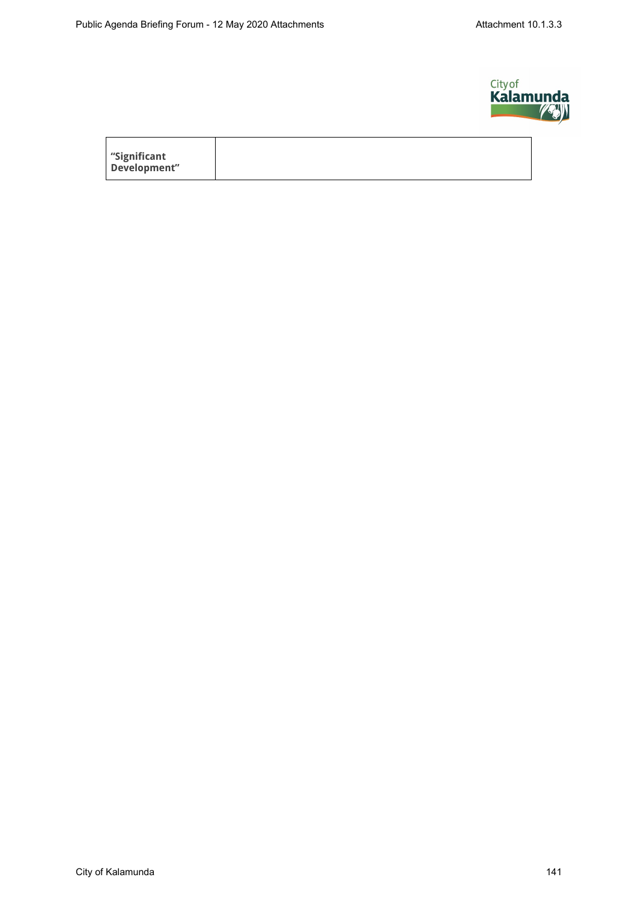$\overline{1}$ 



| significant" |  |  |  |
|--------------|--|--|--|
| Development" |  |  |  |
|              |  |  |  |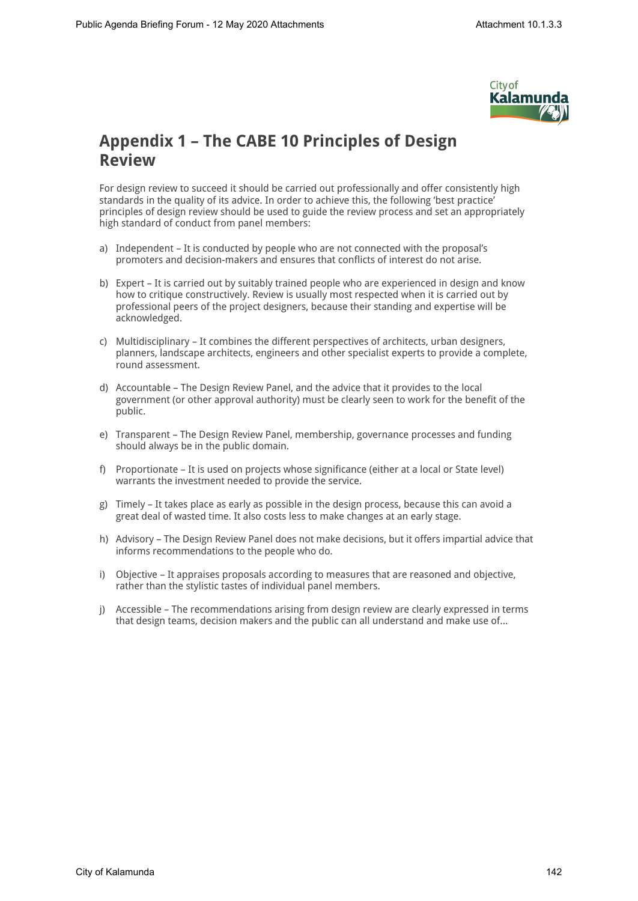

### **Appendix 1 – The CABE 10 Principles of Design Review**

For design review to succeed it should be carried out professionally and offer consistently high standards in the quality of its advice. In order to achieve this, the following 'best practice' principles of design review should be used to guide the review process and set an appropriately high standard of conduct from panel members:

- a) Independent It is conducted by people who are not connected with the proposal's promoters and decision-makers and ensures that conflicts of interest do not arise.
- b) Expert It is carried out by suitably trained people who are experienced in design and know how to critique constructively. Review is usually most respected when it is carried out by professional peers of the project designers, because their standing and expertise will be acknowledged.
- c) Multidisciplinary It combines the different perspectives of architects, urban designers, planners, landscape architects, engineers and other specialist experts to provide a complete, round assessment.
- d) Accountable The Design Review Panel, and the advice that it provides to the local government (or other approval authority) must be clearly seen to work for the benefit of the public.
- e) Transparent The Design Review Panel, membership, governance processes and funding should always be in the public domain.
- f) Proportionate It is used on projects whose significance (either at a local or State level) warrants the investment needed to provide the service.
- g) Timely It takes place as early as possible in the design process, because this can avoid a great deal of wasted time. It also costs less to make changes at an early stage.
- h) Advisory The Design Review Panel does not make decisions, but it offers impartial advice that informs recommendations to the people who do.
- i) Objective It appraises proposals according to measures that are reasoned and objective, rather than the stylistic tastes of individual panel members.
- j) Accessible The recommendations arising from design review are clearly expressed in terms that design teams, decision makers and the public can all understand and make use of...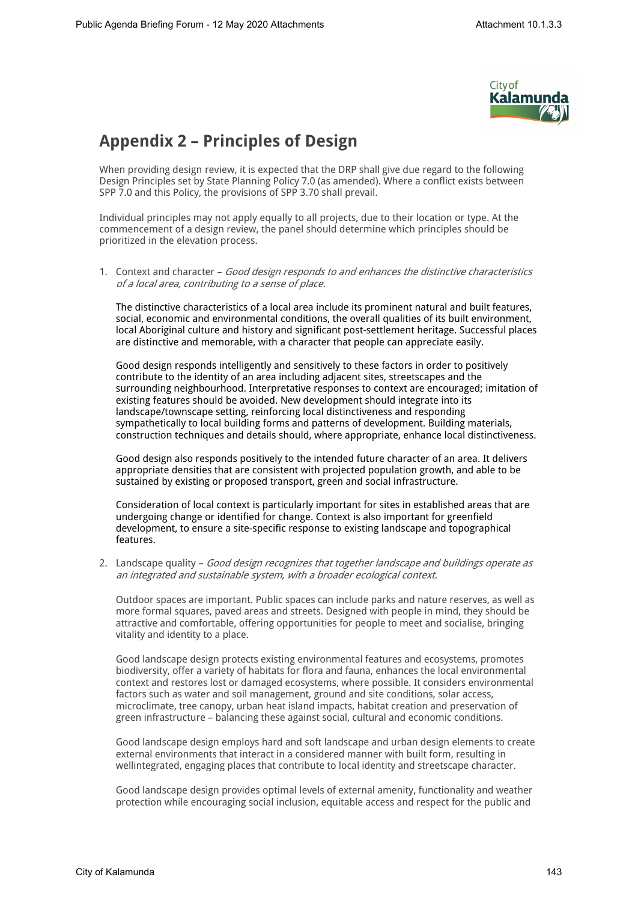

### **Appendix 2 – Principles of Design**

When providing design review, it is expected that the DRP shall give due regard to the following Design Principles set by State Planning Policy 7.0 (as amended). Where a conflict exists between SPP 7.0 and this Policy, the provisions of SPP 3.70 shall prevail.

Individual principles may not apply equally to all projects, due to their location or type. At the commencement of a design review, the panel should determine which principles should be prioritized in the elevation process.

1. Context and character – *Good design responds to and enhances the distinctive characteristics of a local area, contributing to a sense of place.* 

The distinctive characteristics of a local area include its prominent natural and built features, social, economic and environmental conditions, the overall qualities of its built environment, local Aboriginal culture and history and significant post-settlement heritage. Successful places are distinctive and memorable, with a character that people can appreciate easily.

Good design responds intelligently and sensitively to these factors in order to positively contribute to the identity of an area including adjacent sites, streetscapes and the surrounding neighbourhood. Interpretative responses to context are encouraged; imitation of existing features should be avoided. New development should integrate into its landscape/townscape setting, reinforcing local distinctiveness and responding sympathetically to local building forms and patterns of development. Building materials, construction techniques and details should, where appropriate, enhance local distinctiveness.

Good design also responds positively to the intended future character of an area. It delivers appropriate densities that are consistent with projected population growth, and able to be sustained by existing or proposed transport, green and social infrastructure.

Consideration of local context is particularly important for sites in established areas that are undergoing change or identified for change. Context is also important for greenfield development, to ensure a site-specific response to existing landscape and topographical features.

2. Landscape quality – *Good design recognizes that together landscape and buildings operate as an integrated and sustainable system, with a broader ecological context.* 

Outdoor spaces are important. Public spaces can include parks and nature reserves, as well as more formal squares, paved areas and streets. Designed with people in mind, they should be attractive and comfortable, offering opportunities for people to meet and socialise, bringing vitality and identity to a place.

Good landscape design protects existing environmental features and ecosystems, promotes biodiversity, offer a variety of habitats for flora and fauna, enhances the local environmental context and restores lost or damaged ecosystems, where possible. It considers environmental factors such as water and soil management, ground and site conditions, solar access, microclimate, tree canopy, urban heat island impacts, habitat creation and preservation of green infrastructure – balancing these against social, cultural and economic conditions.

Good landscape design employs hard and soft landscape and urban design elements to create external environments that interact in a considered manner with built form, resulting in wellintegrated, engaging places that contribute to local identity and streetscape character.

Good landscape design provides optimal levels of external amenity, functionality and weather protection while encouraging social inclusion, equitable access and respect for the public and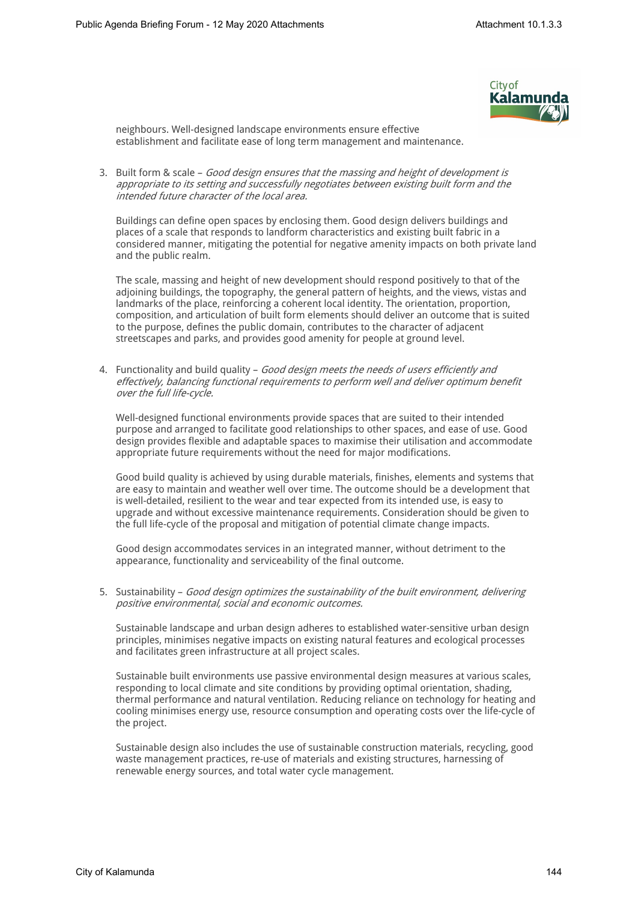

neighbours. Well-designed landscape environments ensure effective establishment and facilitate ease of long term management and maintenance.

3. Built form & scale – *Good design ensures that the massing and height of development is appropriate to its setting and successfully negotiates between existing built form and the intended future character of the local area.* 

Buildings can define open spaces by enclosing them. Good design delivers buildings and places of a scale that responds to landform characteristics and existing built fabric in a considered manner, mitigating the potential for negative amenity impacts on both private land and the public realm.

The scale, massing and height of new development should respond positively to that of the adjoining buildings, the topography, the general pattern of heights, and the views, vistas and landmarks of the place, reinforcing a coherent local identity. The orientation, proportion, composition, and articulation of built form elements should deliver an outcome that is suited to the purpose, defines the public domain, contributes to the character of adjacent streetscapes and parks, and provides good amenity for people at ground level.

4. Functionality and build quality – *Good design meets the needs of users efficiently and effectively, balancing functional requirements to perform well and deliver optimum benefit over the full life-cycle.*

Well-designed functional environments provide spaces that are suited to their intended purpose and arranged to facilitate good relationships to other spaces, and ease of use. Good design provides flexible and adaptable spaces to maximise their utilisation and accommodate appropriate future requirements without the need for major modifications.

Good build quality is achieved by using durable materials, finishes, elements and systems that are easy to maintain and weather well over time. The outcome should be a development that is well-detailed, resilient to the wear and tear expected from its intended use, is easy to upgrade and without excessive maintenance requirements. Consideration should be given to the full life-cycle of the proposal and mitigation of potential climate change impacts.

Good design accommodates services in an integrated manner, without detriment to the appearance, functionality and serviceability of the final outcome.

5. Sustainability – *Good design optimizes the sustainability of the built environment, delivering positive environmental, social and economic outcomes.* 

Sustainable landscape and urban design adheres to established water-sensitive urban design principles, minimises negative impacts on existing natural features and ecological processes and facilitates green infrastructure at all project scales.

Sustainable built environments use passive environmental design measures at various scales, responding to local climate and site conditions by providing optimal orientation, shading, thermal performance and natural ventilation. Reducing reliance on technology for heating and cooling minimises energy use, resource consumption and operating costs over the life-cycle of the project.

Sustainable design also includes the use of sustainable construction materials, recycling, good waste management practices, re-use of materials and existing structures, harnessing of renewable energy sources, and total water cycle management.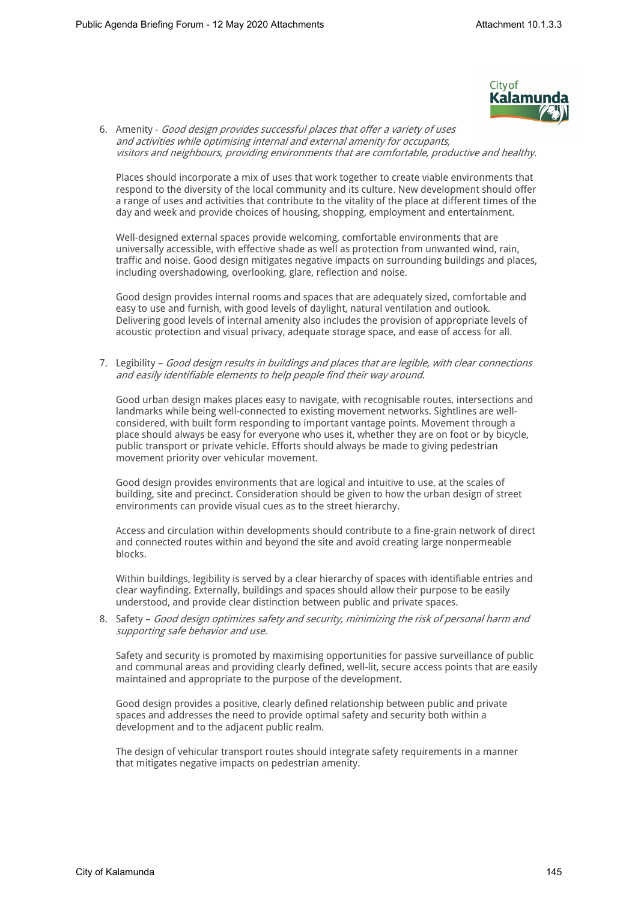

6. Amenity - *Good design provides successful places that offer a variety of uses and activities while optimising internal and external amenity for occupants, visitors and neighbours, providing environments that are comfortable, productive and healthy.* 

Places should incorporate a mix of uses that work together to create viable environments that respond to the diversity of the local community and its culture. New development should offer a range of uses and activities that contribute to the vitality of the place at different times of the day and week and provide choices of housing, shopping, employment and entertainment.

Well-designed external spaces provide welcoming, comfortable environments that are universally accessible, with effective shade as well as protection from unwanted wind, rain, traffic and noise. Good design mitigates negative impacts on surrounding buildings and places, including overshadowing, overlooking, glare, reflection and noise.

Good design provides internal rooms and spaces that are adequately sized, comfortable and easy to use and furnish, with good levels of daylight, natural ventilation and outlook. Delivering good levels of internal amenity also includes the provision of appropriate levels of acoustic protection and visual privacy, adequate storage space, and ease of access for all.

7. Legibility – *Good design results in buildings and places that are legible, with clear connections and easily identifiable elements to help people find their way around.* 

Good urban design makes places easy to navigate, with recognisable routes, intersections and landmarks while being well-connected to existing movement networks. Sightlines are wellconsidered, with built form responding to important vantage points. Movement through a place should always be easy for everyone who uses it, whether they are on foot or by bicycle, public transport or private vehicle. Efforts should always be made to giving pedestrian movement priority over vehicular movement.

Good design provides environments that are logical and intuitive to use, at the scales of building, site and precinct. Consideration should be given to how the urban design of street environments can provide visual cues as to the street hierarchy.

Access and circulation within developments should contribute to a fine-grain network of direct and connected routes within and beyond the site and avoid creating large nonpermeable blocks.

Within buildings, legibility is served by a clear hierarchy of spaces with identifiable entries and clear wayfinding. Externally, buildings and spaces should allow their purpose to be easily understood, and provide clear distinction between public and private spaces.

8. Safety – *Good design optimizes safety and security, minimizing the risk of personal harm and supporting safe behavior and use.* 

Safety and security is promoted by maximising opportunities for passive surveillance of public and communal areas and providing clearly defined, well-lit, secure access points that are easily maintained and appropriate to the purpose of the development.

Good design provides a positive, clearly defined relationship between public and private spaces and addresses the need to provide optimal safety and security both within a development and to the adjacent public realm.

The design of vehicular transport routes should integrate safety requirements in a manner that mitigates negative impacts on pedestrian amenity.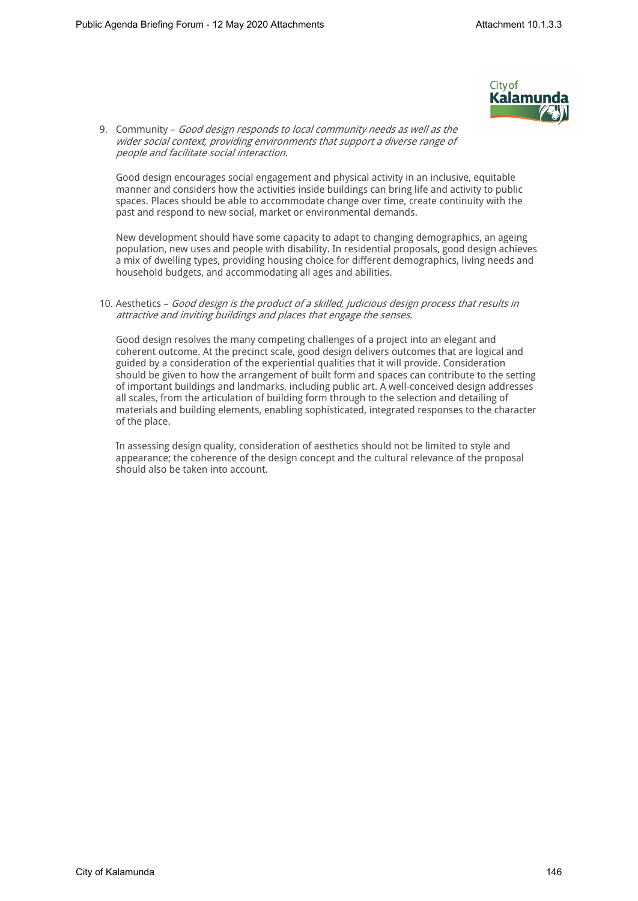

9. Community – *Good design responds to local community needs as well as the wider social context, providing environments that support a diverse range of people and facilitate social interaction.* 

Good design encourages social engagement and physical activity in an inclusive, equitable manner and considers how the activities inside buildings can bring life and activity to public spaces. Places should be able to accommodate change over time, create continuity with the past and respond to new social, market or environmental demands.

New development should have some capacity to adapt to changing demographics, an ageing population, new uses and people with disability. In residential proposals, good design achieves a mix of dwelling types, providing housing choice for different demographics, living needs and household budgets, and accommodating all ages and abilities.

#### 10. Aesthetics – *Good design is the product of a skilled, judicious design process that results in attractive and inviting buildings and places that engage the senses.*

Good design resolves the many competing challenges of a project into an elegant and coherent outcome. At the precinct scale, good design delivers outcomes that are logical and guided by a consideration of the experiential qualities that it will provide. Consideration should be given to how the arrangement of built form and spaces can contribute to the setting of important buildings and landmarks, including public art. A well-conceived design addresses all scales, from the articulation of building form through to the selection and detailing of materials and building elements, enabling sophisticated, integrated responses to the character of the place.

In assessing design quality, consideration of aesthetics should not be limited to style and appearance; the coherence of the design concept and the cultural relevance of the proposal should also be taken into account.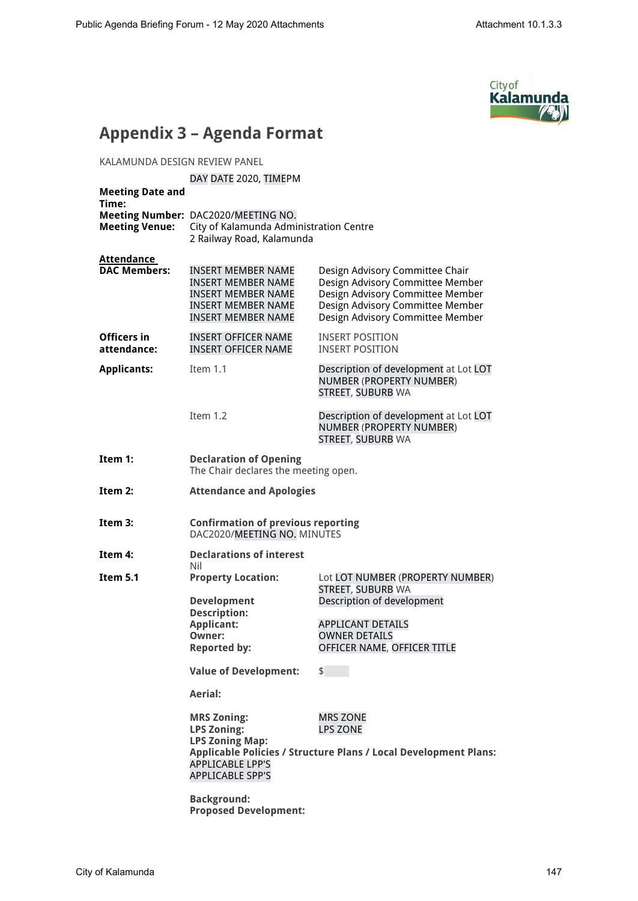

## **Appendix 3 – Agenda Format**

KALAMUNDA DESIGN REVIEW PANEL

#### DAY DATE 2020, TIMEPM

| <b>Meeting Date and</b><br>Time:  |                                                                                                                                        |                                                                                                                                                                                 |  |
|-----------------------------------|----------------------------------------------------------------------------------------------------------------------------------------|---------------------------------------------------------------------------------------------------------------------------------------------------------------------------------|--|
| <b>Meeting Venue:</b>             | Meeting Number: DAC2020/MEETING NO.<br>City of Kalamunda Administration Centre<br>2 Railway Road, Kalamunda                            |                                                                                                                                                                                 |  |
| Attendance<br><b>DAC Members:</b> | <b>INSERT MEMBER NAME</b><br><b>INSERT MEMBER NAME</b><br>INSERT MEMBER NAME<br><b>INSERT MEMBER NAME</b><br><b>INSERT MEMBER NAME</b> | Design Advisory Committee Chair<br>Design Advisory Committee Member<br>Design Advisory Committee Member<br>Design Advisory Committee Member<br>Design Advisory Committee Member |  |
| Officers in<br>attendance:        | <b>INSERT OFFICER NAME</b><br><b>INSERT OFFICER NAME</b>                                                                               | <b>INSERT POSITION</b><br><b>INSERT POSITION</b>                                                                                                                                |  |
| <b>Applicants:</b>                | Item 1.1                                                                                                                               | Description of development at Lot LOT<br>NUMBER (PROPERTY NUMBER)<br>STREET, SUBURB WA                                                                                          |  |
|                                   | Item 1.2                                                                                                                               | Description of development at Lot LOT<br>NUMBER (PROPERTY NUMBER)<br>STREET, SUBURB WA                                                                                          |  |
| Item 1:                           | <b>Declaration of Opening</b><br>The Chair declares the meeting open.                                                                  |                                                                                                                                                                                 |  |
| Item 2:                           | <b>Attendance and Apologies</b>                                                                                                        |                                                                                                                                                                                 |  |
| Item 3:                           | <b>Confirmation of previous reporting</b><br>DAC2020/MEETING NO. MINUTES                                                               |                                                                                                                                                                                 |  |
| Item 4:                           | <b>Declarations of interest</b><br>Nil                                                                                                 |                                                                                                                                                                                 |  |
| Item 5.1                          | <b>Property Location:</b><br><b>Development</b><br><b>Description:</b><br><b>Applicant:</b><br>Owner:<br><b>Reported by:</b>           | Lot LOT NUMBER (PROPERTY NUMBER)<br><b>STREET, SUBURB WA</b><br>Description of development<br><b>APPLICANT DETAILS</b><br><b>OWNER DETAILS</b><br>OFFICER NAME, OFFICER TITLE   |  |
|                                   | <b>Value of Development:</b>                                                                                                           | \$                                                                                                                                                                              |  |
|                                   | Aerial:                                                                                                                                |                                                                                                                                                                                 |  |
|                                   | <b>MRS Zoning:</b><br><b>LPS Zoning:</b><br><b>LPS Zoning Map:</b><br><b>APPLICABLE LPP'S</b><br><b>APPLICABLE SPP'S</b>               | <b>MRS ZONE</b><br><b>LPS ZONE</b><br><b>Applicable Policies / Structure Plans / Local Development Plans:</b>                                                                   |  |
|                                   | <b>Background:</b><br><b>Proposed Development:</b>                                                                                     |                                                                                                                                                                                 |  |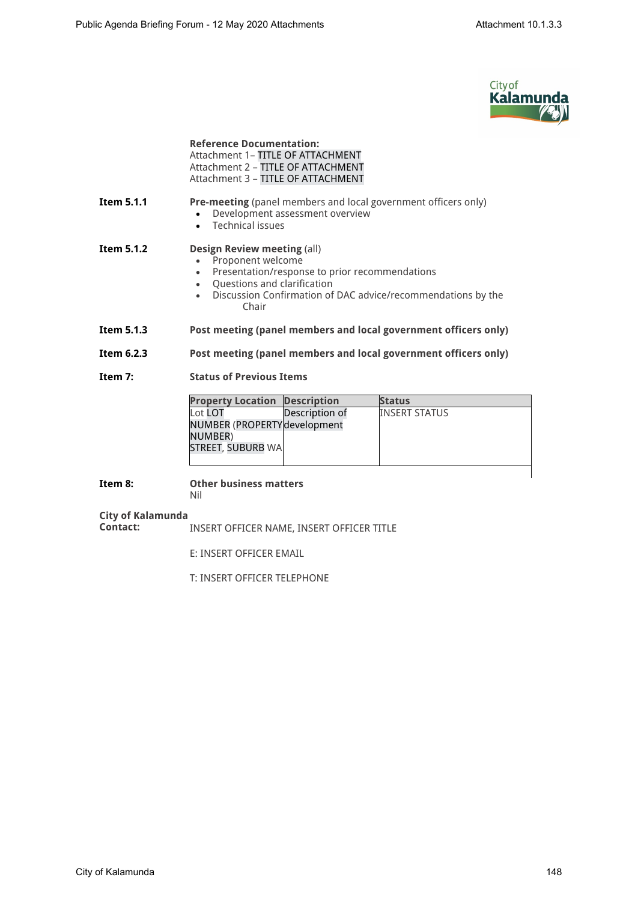

|                               | <b>Reference Documentation:</b><br>Attachment 1- TITLE OF ATTACHMENT<br>Attachment 2 - TITLE OF ATTACHMENT<br>Attachment 3 - TITLE OF ATTACHMENT                                                                                 |                |                                                                 |  |
|-------------------------------|----------------------------------------------------------------------------------------------------------------------------------------------------------------------------------------------------------------------------------|----------------|-----------------------------------------------------------------|--|
| Item 5.1.1                    | Pre-meeting (panel members and local government officers only)<br>Development assessment overview<br>• Technical issues                                                                                                          |                |                                                                 |  |
| Item 5.1.2                    | <b>Design Review meeting (all)</b><br>Proponent welcome<br>Presentation/response to prior recommendations<br>$\bullet$<br>• Questions and clarification<br>Discussion Confirmation of DAC advice/recommendations by the<br>Chair |                |                                                                 |  |
| Item 5.1.3                    |                                                                                                                                                                                                                                  |                | Post meeting (panel members and local government officers only) |  |
| Item 6.2.3                    | Post meeting (panel members and local government officers only)                                                                                                                                                                  |                |                                                                 |  |
| Item 7:                       | <b>Status of Previous Items</b>                                                                                                                                                                                                  |                |                                                                 |  |
|                               | <b>Property Location Description</b>                                                                                                                                                                                             |                | <b>Status</b>                                                   |  |
|                               | Lot LOT<br>NUMBER (PROPERTY development<br>NUMBER)<br><b>STREET, SUBURB WA</b>                                                                                                                                                   | Description of | <b>INSERT STATUS</b>                                            |  |
| Item 8:                       | <b>Other business matters</b><br>Nil                                                                                                                                                                                             |                |                                                                 |  |
| City of Kalamunda<br>Contact: | INSERT OFFICER NAME, INSERT OFFICER TITLE                                                                                                                                                                                        |                |                                                                 |  |
|                               | E: INSERT OFFICER EMAIL                                                                                                                                                                                                          |                |                                                                 |  |

T: INSERT OFFICER TELEPHONE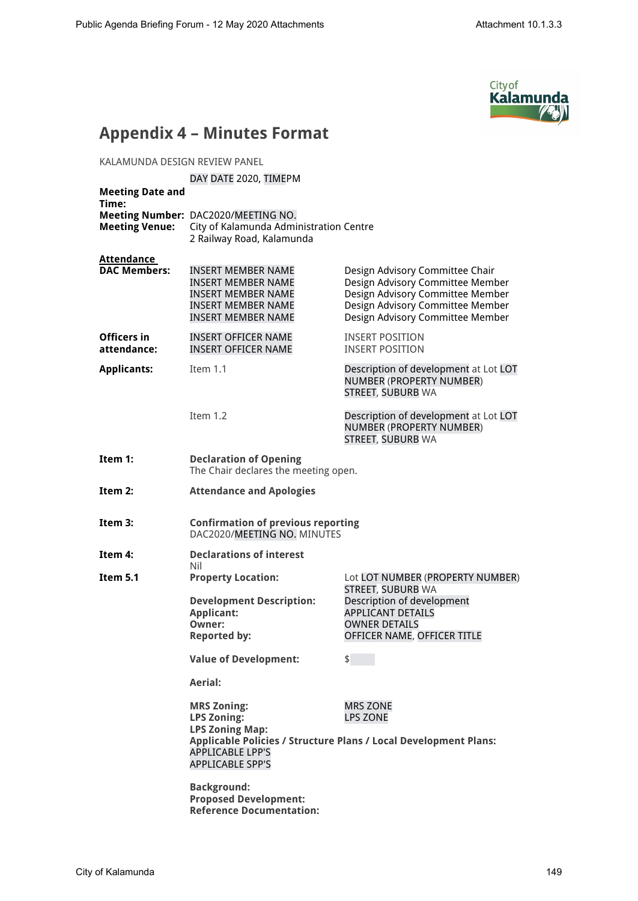

### **Appendix 4 – Minutes Format**

KALAMUNDA DESIGN REVIEW PANEL

#### DAY DATE 2020, TIMEPM

| <b>Meeting Date and</b><br>Time:         |                                                                                                                                                    |                                                                                                                                                                                 |
|------------------------------------------|----------------------------------------------------------------------------------------------------------------------------------------------------|---------------------------------------------------------------------------------------------------------------------------------------------------------------------------------|
| <b>Meeting Venue:</b>                    | Meeting Number: DAC2020/MEETING NO.<br>City of Kalamunda Administration Centre<br>2 Railway Road, Kalamunda                                        |                                                                                                                                                                                 |
| <b>Attendance</b><br><b>DAC Members:</b> | <b>INSERT MEMBER NAME</b><br>INSERT MEMBER NAME<br><b>INSERT MEMBER NAME</b><br><b>INSERT MEMBER NAME</b><br><b>INSERT MEMBER NAME</b>             | Design Advisory Committee Chair<br>Design Advisory Committee Member<br>Design Advisory Committee Member<br>Design Advisory Committee Member<br>Design Advisory Committee Member |
| Officers in<br>attendance:               | <b>INSERT OFFICER NAME</b><br><b>INSERT OFFICER NAME</b>                                                                                           | <b>INSERT POSITION</b><br><b>INSERT POSITION</b>                                                                                                                                |
| <b>Applicants:</b>                       | Item 1.1                                                                                                                                           | Description of development at Lot LOT<br>NUMBER (PROPERTY NUMBER)<br>STREET, SUBURB WA                                                                                          |
|                                          | Item 1.2                                                                                                                                           | Description of development at Lot LOT<br>NUMBER (PROPERTY NUMBER)<br>STREET, SUBURB WA                                                                                          |
| Item 1:                                  | <b>Declaration of Opening</b><br>The Chair declares the meeting open.                                                                              |                                                                                                                                                                                 |
| Item $2:$                                | <b>Attendance and Apologies</b>                                                                                                                    |                                                                                                                                                                                 |
| Item 3:                                  | <b>Confirmation of previous reporting</b><br>DAC2020/MEETING NO. MINUTES                                                                           |                                                                                                                                                                                 |
| Item 4:                                  | <b>Declarations of interest</b><br>Nil                                                                                                             |                                                                                                                                                                                 |
| Item 5.1                                 | <b>Property Location:</b><br><b>Development Description:</b><br><b>Applicant:</b><br>Owner:<br><b>Reported by:</b><br><b>Value of Development:</b> | Lot LOT NUMBER (PROPERTY NUMBER)<br><b>STREET, SUBURB WA</b><br>Description of development<br>APPLICANT DETAILS<br><b>OWNER DETAILS</b><br>OFFICER NAME, OFFICER TITLE<br>\$    |
|                                          | Aerial:                                                                                                                                            |                                                                                                                                                                                 |
|                                          | <b>MRS Zoning:</b><br><b>LPS Zoning:</b><br><b>LPS Zoning Map:</b><br>APPLICABLE LPP'S<br><b>APPLICABLE SPP'S</b>                                  | <b>MRS ZONE</b><br><b>LPS ZONE</b><br>Applicable Policies / Structure Plans / Local Development Plans:                                                                          |
|                                          | <b>Background:</b><br><b>Proposed Development:</b><br><b>Reference Documentation:</b>                                                              |                                                                                                                                                                                 |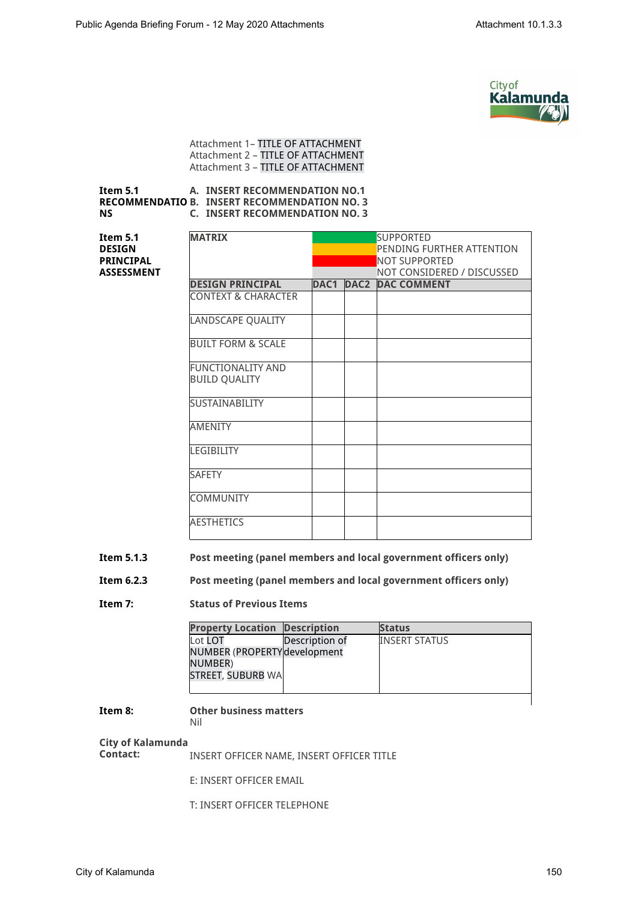

Attachment 1– TITLE OF ATTACHMENT Attachment 2 – TITLE OF ATTACHMENT Attachment 3 – TITLE OF ATTACHMENT

#### **Item 5.1 RECOMMENDATIO B. INSERT RECOMMENDATION NO. 3 NS A. INSERT RECOMMENDATION NO.1 C. INSERT RECOMMENDATION NO. 3**

**Item 5.1 DESIGN PRINCIPAL ASSESSMENT**

| <b>MATRIX</b>            |      |                  | <b>SUPPORTED</b>           |
|--------------------------|------|------------------|----------------------------|
|                          |      |                  | PENDING FURTHER ATTENTION  |
|                          |      |                  | NOT SUPPORTED              |
|                          |      |                  | NOT CONSIDERED / DISCUSSED |
| <b>DESIGN PRINCIPAL</b>  | DAC1 | DAC <sub>2</sub> | <b>DAC COMMENT</b>         |
| CONTEXT & CHARACTER      |      |                  |                            |
| <b>LANDSCAPE QUALITY</b> |      |                  |                            |
| BUILT FORM & SCALE       |      |                  |                            |
| <b>FUNCTIONALITY AND</b> |      |                  |                            |
| <b>BUILD QUALITY</b>     |      |                  |                            |
| <b>SUSTAINABILITY</b>    |      |                  |                            |
| <b>AMENITY</b>           |      |                  |                            |
| LEGIBILITY               |      |                  |                            |
| <b>SAFETY</b>            |      |                  |                            |
| <b>COMMUNITY</b>         |      |                  |                            |
| <b>AESTHETICS</b>        |      |                  |                            |

#### **Item 5.1.3 Post meeting (panel members and local government officers only)**

#### **Item 6.2.3 Post meeting (panel members and local government officers only)**

#### **Item 7: Status of Previous Items**

| <b>Property Location Description</b> |                | <b>Status</b>        |
|--------------------------------------|----------------|----------------------|
| Lot LOT                              | Description of | <b>INSERT STATUS</b> |
| NUMBER (PROPERTY development         |                |                      |
| NUMBER)                              |                |                      |
| STREET, SUBURB WA                    |                |                      |
|                                      |                |                      |
|                                      |                |                      |

#### **Item 8: Other business matters**

### Nil

# **City of Kalamunda**

**Contact:** INSERT OFFICER NAME, INSERT OFFICER TITLE

E: INSERT OFFICER EMAIL

T: INSERT OFFICER TELEPHONE